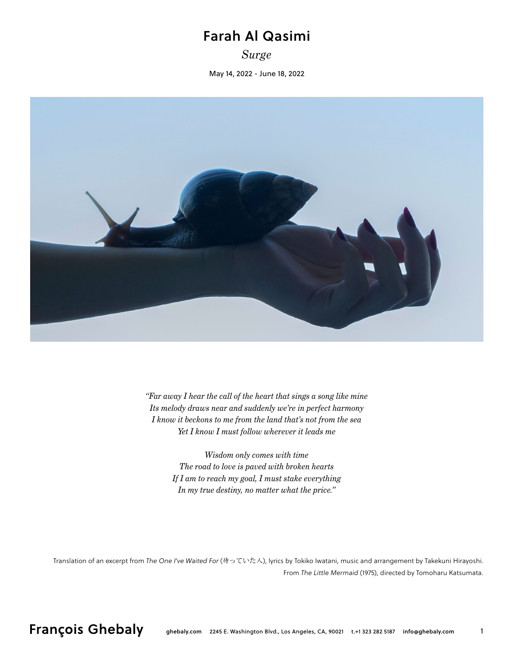## Farah Al Qasimi

*Surge*

May 14, 2022 - June 18, 2022



*"Far away I hear the call of the heart that sings a song like mine Its melody draws near and suddenly we're in perfect harmony I know it beckons to me from the land that's not from the sea Yet I know I must follow wherever it leads me*

> *Wisdom only comes with time The road to love is paved with broken hearts If I am to reach my goal, I must stake everything In my true destiny, no matter what the price."*

Translation of an excerpt from *The One I've Waited For* (待っていた人), lyrics by Tokiko Iwatani, music and arrangement by Takekuni Hirayoshi. From *The Little Mermaid* (1975), directed by Tomoharu Katsumata.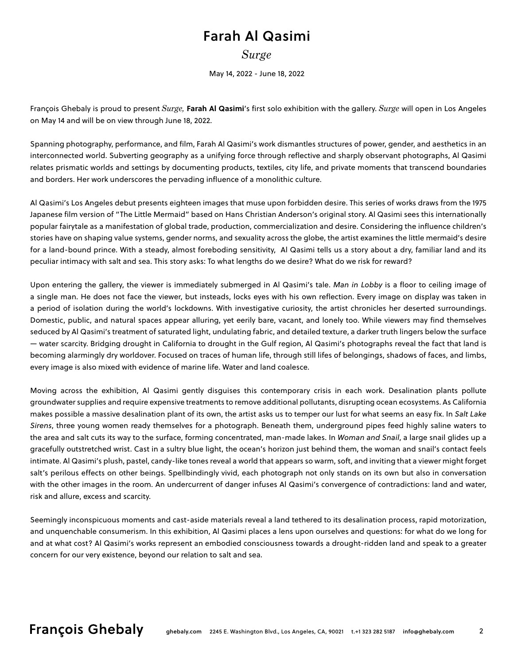## Farah Al Qasimi

*Surge*

May 14, 2022 - June 18, 2022

François Ghebaly is proud to present *Surge,* **Farah Al Qasimi**'s first solo exhibition with the gallery. *Surge* will open in Los Angeles on May 14 and will be on view through June 18, 2022.

Spanning photography, performance, and film, Farah Al Qasimi's work dismantles structures of power, gender, and aesthetics in an interconnected world. Subverting geography as a unifying force through reflective and sharply observant photographs, Al Qasimi relates prismatic worlds and settings by documenting products, textiles, city life, and private moments that transcend boundaries and borders. Her work underscores the pervading influence of a monolithic culture.

Al Qasimi's Los Angeles debut presents eighteen images that muse upon forbidden desire. This series of works draws from the 1975 Japanese film version of "The Little Mermaid" based on Hans Christian Anderson's original story. Al Qasimi sees this internationally popular fairytale as a manifestation of global trade, production, commercialization and desire. Considering the influence children's stories have on shaping value systems, gender norms, and sexuality across the globe, the artist examines the little mermaid's desire for a land-bound prince. With a steady, almost foreboding sensitivity, Al Qasimi tells us a story about a dry, familiar land and its peculiar intimacy with salt and sea. This story asks: To what lengths do we desire? What do we risk for reward?

Upon entering the gallery, the viewer is immediately submerged in Al Qasimi's tale. *Man in Lobby* is a floor to ceiling image of a single man. He does not face the viewer, but insteads, locks eyes with his own reflection. Every image on display was taken in a period of isolation during the world's lockdowns. With investigative curiosity, the artist chronicles her deserted surroundings. Domestic, public, and natural spaces appear alluring, yet eerily bare, vacant, and lonely too. While viewers may find themselves seduced by Al Qasimi's treatment of saturated light, undulating fabric, and detailed texture, a darker truth lingers below the surface — water scarcity. Bridging drought in California to drought in the Gulf region, Al Qasimi's photographs reveal the fact that land is becoming alarmingly dry worldover. Focused on traces of human life, through still lifes of belongings, shadows of faces, and limbs, every image is also mixed with evidence of marine life. Water and land coalesce.

Moving across the exhibition, Al Qasimi gently disguises this contemporary crisis in each work. Desalination plants pollute groundwater supplies and require expensive treatments to remove additional pollutants, disrupting ocean ecosystems. As California makes possible a massive desalination plant of its own, the artist asks us to temper our lust for what seems an easy fix. In *Salt Lake Sirens*, three young women ready themselves for a photograph. Beneath them, underground pipes feed highly saline waters to the area and salt cuts its way to the surface, forming concentrated, man-made lakes. In *Woman and Snail*, a large snail glides up a gracefully outstretched wrist. Cast in a sultry blue light, the ocean's horizon just behind them, the woman and snail's contact feels intimate. Al Qasimi's plush, pastel, candy-like tones reveal a world that appears so warm, soft, and inviting that a viewer might forget salt's perilous effects on other beings. Spellbindingly vivid, each photograph not only stands on its own but also in conversation with the other images in the room. An undercurrent of danger infuses Al Qasimi's convergence of contradictions: land and water, risk and allure, excess and scarcity.

Seemingly inconspicuous moments and cast-aside materials reveal a land tethered to its desalination process, rapid motorization, and unquenchable consumerism. In this exhibition, Al Qasimi places a lens upon ourselves and questions: for what do we long for and at what cost? Al Qasimi's works represent an embodied consciousness towards a drought-ridden land and speak to a greater concern for our very existence, beyond our relation to salt and sea.